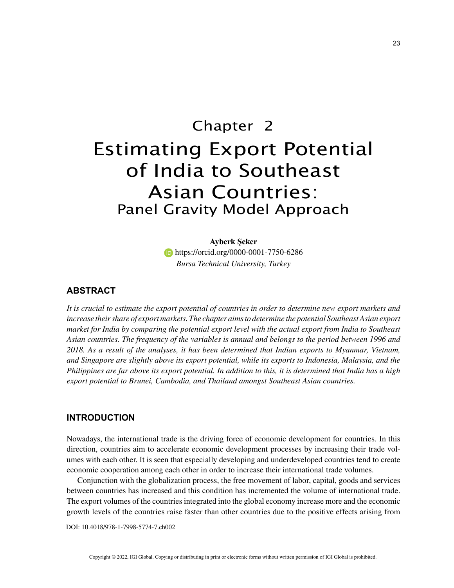# Chapter 2 Estimating Export Potential of India to Southeast Asian Countries: Panel Gravity Model Approach

**Ayberk Şeker https://orcid.org/0000-0001-7750-6286** *Bursa Technical University, Turkey*

# **ABSTRACT**

*It is crucial to estimate the export potential of countries in order to determine new export markets and increase their share of export markets. The chapter aims to determine the potential Southeast Asian export market for India by comparing the potential export level with the actual export from India to Southeast Asian countries. The frequency of the variables is annual and belongs to the period between 1996 and 2018. As a result of the analyses, it has been determined that Indian exports to Myanmar, Vietnam, and Singapore are slightly above its export potential, while its exports to Indonesia, Malaysia, and the Philippines are far above its export potential. In addition to this, it is determined that India has a high export potential to Brunei, Cambodia, and Thailand amongst Southeast Asian countries.*

## **INTRODUCTION**

Nowadays, the international trade is the driving force of economic development for countries. In this direction, countries aim to accelerate economic development processes by increasing their trade volumes with each other. It is seen that especially developing and underdeveloped countries tend to create economic cooperation among each other in order to increase their international trade volumes.

Conjunction with the globalization process, the free movement of labor, capital, goods and services between countries has increased and this condition has incremented the volume of international trade. The export volumes of the countries integrated into the global economy increase more and the economic growth levels of the countries raise faster than other countries due to the positive effects arising from

DOI: 10.4018/978-1-7998-5774-7.ch002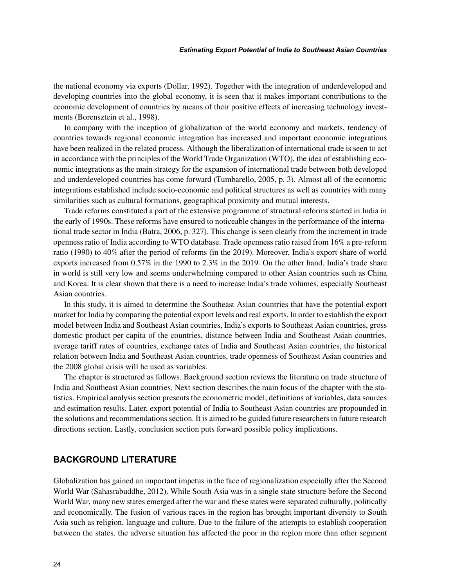the national economy via exports (Dollar, 1992). Together with the integration of underdeveloped and developing countries into the global economy, it is seen that it makes important contributions to the economic development of countries by means of their positive effects of increasing technology investments (Borensztein et al., 1998).

In company with the inception of globalization of the world economy and markets, tendency of countries towards regional economic integration has increased and important economic integrations have been realized in the related process. Although the liberalization of international trade is seen to act in accordance with the principles of the World Trade Organization (WTO), the idea of establishing economic integrations as the main strategy for the expansion of international trade between both developed and underdeveloped countries has come forward (Tumbarello, 2005, p. 3). Almost all of the economic integrations established include socio-economic and political structures as well as countries with many similarities such as cultural formations, geographical proximity and mutual interests.

Trade reforms constituted a part of the extensive programme of structural reforms started in India in the early of 1990s. These reforms have ensured to noticeable changes in the performance of the international trade sector in India (Batra, 2006, p. 327). This change is seen clearly from the increment in trade openness ratio of India according to WTO database. Trade openness ratio raised from 16% a pre-reform ratio (1990) to 40% after the period of reforms (in the 2019). Moreover, India's export share of world exports increased from 0.57% in the 1990 to 2.3% in the 2019. On the other hand, India's trade share in world is still very low and seems underwhelming compared to other Asian countries such as China and Korea. It is clear shown that there is a need to increase India's trade volumes, especially Southeast Asian countries.

In this study, it is aimed to determine the Southeast Asian countries that have the potential export market for India by comparing the potential export levels and real exports. In order to establish the export model between India and Southeast Asian countries, India's exports to Southeast Asian countries, gross domestic product per capita of the countries, distance between India and Southeast Asian countries, average tariff rates of countries, exchange rates of India and Southeast Asian countries, the historical relation between India and Southeast Asian countries, trade openness of Southeast Asian countries and the 2008 global crisis will be used as variables.

The chapter is structured as follows. Background section reviews the literature on trade structure of India and Southeast Asian countries. Next section describes the main focus of the chapter with the statistics. Empirical analysis section presents the econometric model, definitions of variables, data sources and estimation results. Later, export potential of India to Southeast Asian countries are propounded in the solutions and recommendations section. It is aimed to be guided future researchers in future research directions section. Lastly, conclusion section puts forward possible policy implications.

### **BACKGROUND LITERATURE**

Globalization has gained an important impetus in the face of regionalization especially after the Second World War (Sahasrabuddhe, 2012). While South Asia was in a single state structure before the Second World War, many new states emerged after the war and these states were separated culturally, politically and economically. The fusion of various races in the region has brought important diversity to South Asia such as religion, language and culture. Due to the failure of the attempts to establish cooperation between the states, the adverse situation has affected the poor in the region more than other segment